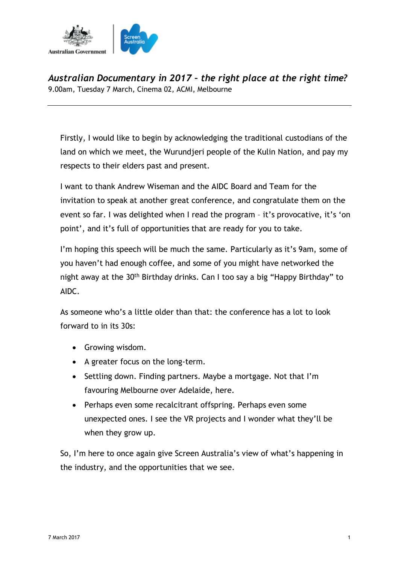

*Australian Documentary in 2017 – the right place at the right time?* 9.00am, Tuesday 7 March, Cinema 02, ACMI, Melbourne

Firstly, I would like to begin by acknowledging the traditional custodians of the land on which we meet, the Wurundjeri people of the Kulin Nation, and pay my respects to their elders past and present.

I want to thank Andrew Wiseman and the AIDC Board and Team for the invitation to speak at another great conference, and congratulate them on the event so far. I was delighted when I read the program – it's provocative, it's 'on point', and it's full of opportunities that are ready for you to take.

I'm hoping this speech will be much the same. Particularly as it's 9am, some of you haven't had enough coffee, and some of you might have networked the night away at the 30<sup>th</sup> Birthday drinks. Can I too say a big "Happy Birthday" to AIDC.

As someone who's a little older than that: the conference has a lot to look forward to in its 30s:

- Growing wisdom.
- A greater focus on the long-term.
- Settling down. Finding partners. Maybe a mortgage. Not that I'm favouring Melbourne over Adelaide, here.
- Perhaps even some recalcitrant offspring. Perhaps even some unexpected ones. I see the VR projects and I wonder what they'll be when they grow up.

So, I'm here to once again give Screen Australia's view of what's happening in the industry, and the opportunities that we see.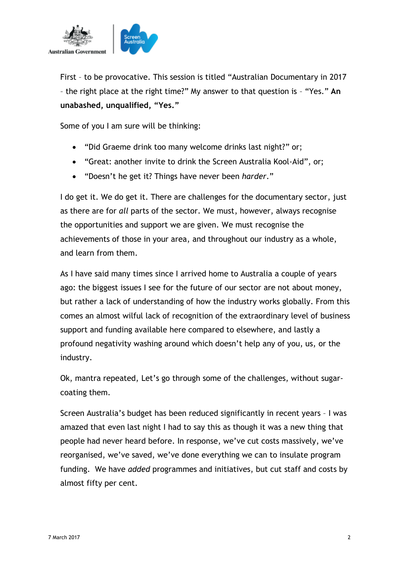

First – to be provocative. This session is titled "Australian Documentary in 2017 – the right place at the right time?" My answer to that question is – "Yes." **An unabashed, unqualified, "Yes."**

Some of you I am sure will be thinking:

- "Did Graeme drink too many welcome drinks last night?" or;
- "Great: another invite to drink the Screen Australia Kool-Aid", or;
- "Doesn't he get it? Things have never been *harder*."

I do get it. We do get it. There are challenges for the documentary sector, just as there are for *all* parts of the sector. We must, however, always recognise the opportunities and support we are given. We must recognise the achievements of those in your area, and throughout our industry as a whole, and learn from them.

As I have said many times since I arrived home to Australia a couple of years ago: the biggest issues I see for the future of our sector are not about money, but rather a lack of understanding of how the industry works globally. From this comes an almost wilful lack of recognition of the extraordinary level of business support and funding available here compared to elsewhere, and lastly a profound negativity washing around which doesn't help any of you, us, or the industry.

Ok, mantra repeated, Let's go through some of the challenges, without sugarcoating them.

Screen Australia's budget has been reduced significantly in recent years – I was amazed that even last night I had to say this as though it was a new thing that people had never heard before. In response, we've cut costs massively, we've reorganised, we've saved, we've done everything we can to insulate program funding. We have *added* programmes and initiatives, but cut staff and costs by almost fifty per cent.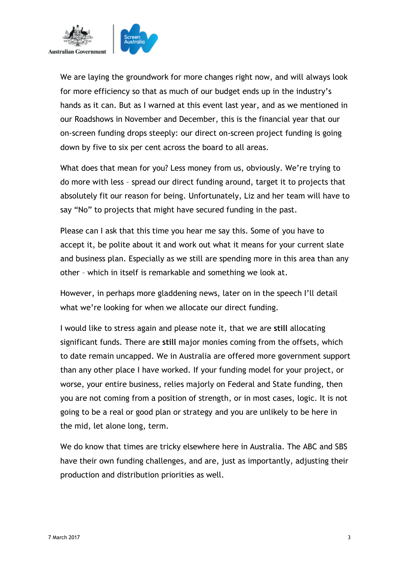

We are laying the groundwork for more changes right now, and will always look for more efficiency so that as much of our budget ends up in the industry's hands as it can. But as I warned at this event last year, and as we mentioned in our Roadshows in November and December, this is the financial year that our on-screen funding drops steeply: our direct on-screen project funding is going down by five to six per cent across the board to all areas.

What does that mean for you? Less money from us, obviously. We're trying to do more with less – spread our direct funding around, target it to projects that absolutely fit our reason for being. Unfortunately, Liz and her team will have to say "No" to projects that might have secured funding in the past.

Please can I ask that this time you hear me say this. Some of you have to accept it, be polite about it and work out what it means for your current slate and business plan. Especially as we still are spending more in this area than any other – which in itself is remarkable and something we look at.

However, in perhaps more gladdening news, later on in the speech I'll detail what we're looking for when we allocate our direct funding.

I would like to stress again and please note it, that we are **still** allocating significant funds. There are **still** major monies coming from the offsets, which to date remain uncapped. We in Australia are offered more government support than any other place I have worked. If your funding model for your project, or worse, your entire business, relies majorly on Federal and State funding, then you are not coming from a position of strength, or in most cases, logic. It is not going to be a real or good plan or strategy and you are unlikely to be here in the mid, let alone long, term.

We do know that times are tricky elsewhere here in Australia. The ABC and SBS have their own funding challenges, and are, just as importantly, adjusting their production and distribution priorities as well.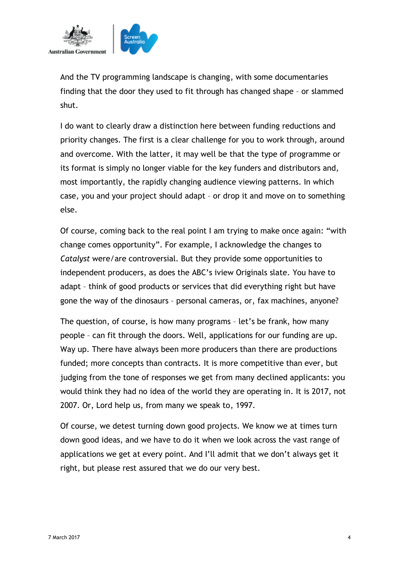

And the TV programming landscape is changing, with some documentaries finding that the door they used to fit through has changed shape – or slammed shut.

I do want to clearly draw a distinction here between funding reductions and priority changes. The first is a clear challenge for you to work through, around and overcome. With the latter, it may well be that the type of programme or its format is simply no longer viable for the key funders and distributors and, most importantly, the rapidly changing audience viewing patterns. In which case, you and your project should adapt – or drop it and move on to something else.

Of course, coming back to the real point I am trying to make once again: "with change comes opportunity". For example, I acknowledge the changes to *Catalyst* were/are controversial. But they provide some opportunities to independent producers, as does the ABC's iview Originals slate. You have to adapt – think of good products or services that did everything right but have gone the way of the dinosaurs – personal cameras, or, fax machines, anyone?

The question, of course, is how many programs – let's be frank, how many people – can fit through the doors. Well, applications for our funding are up. Way up. There have always been more producers than there are productions funded; more concepts than contracts. It is more competitive than ever, but judging from the tone of responses we get from many declined applicants: you would think they had no idea of the world they are operating in. It is 2017, not 2007. Or, Lord help us, from many we speak to, 1997.

Of course, we detest turning down good projects. We know we at times turn down good ideas, and we have to do it when we look across the vast range of applications we get at every point. And I'll admit that we don't always get it right, but please rest assured that we do our very best.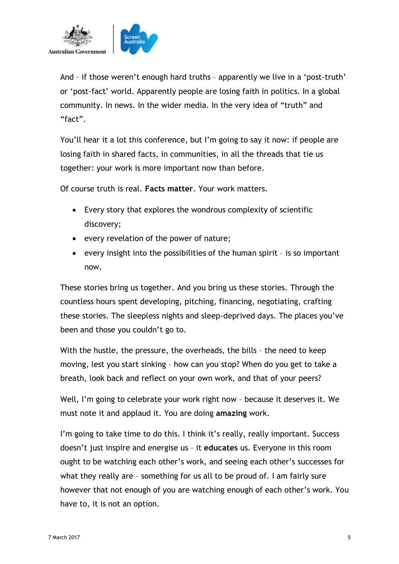

And – if those weren't enough hard truths – apparently we live in a 'post-truth' or 'post-fact' world. Apparently people are losing faith in politics. In a global community. In news. In the wider media. In the very idea of "truth" and "fact".

You'll hear it a lot this conference, but I'm going to say it now: if people are losing faith in shared facts, in communities, in all the threads that tie us together: your work is more important now than before.

Of course truth is real. **Facts matter**. Your work matters.

- Every story that explores the wondrous complexity of scientific discovery;
- every revelation of the power of nature;
- every insight into the possibilities of the human spirit is so important now.

These stories bring us together. And you bring us these stories. Through the countless hours spent developing, pitching, financing, negotiating, crafting these stories. The sleepless nights and sleep-deprived days. The places you've been and those you couldn't go to.

With the hustle, the pressure, the overheads, the bills – the need to keep moving, lest you start sinking – how can you stop? When do you get to take a breath, look back and reflect on your own work, and that of your peers?

Well, I'm going to celebrate your work right now – because it deserves it. We must note it and applaud it. You are doing **amazing** work.

I'm going to take time to do this. I think it's really, really important. Success doesn't just inspire and energise us – it **educates** us. Everyone in this room ought to be watching each other's work, and seeing each other's successes for what they really are – something for us all to be proud of. I am fairly sure however that not enough of you are watching enough of each other's work. You have to, it is not an option.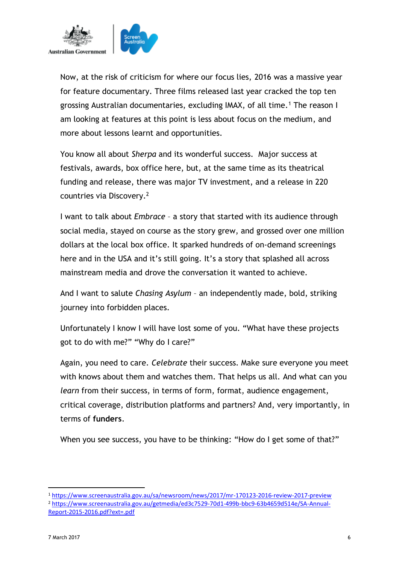

Now, at the risk of criticism for where our focus lies, 2016 was a massive year for feature documentary. Three films released last year cracked the top ten grossing Australian documentaries, excluding IMAX, of all time.<sup>1</sup> The reason I am looking at features at this point is less about focus on the medium, and more about lessons learnt and opportunities.

You know all about *Sherpa* and its wonderful success. Major success at festivals, awards, box office here, but, at the same time as its theatrical funding and release, there was major TV investment, and a release in 220 countries via Discovery.<sup>2</sup>

I want to talk about *Embrace* – a story that started with its audience through social media, stayed on course as the story grew, and grossed over one million dollars at the local box office. It sparked hundreds of on-demand screenings here and in the USA and it's still going. It's a story that splashed all across mainstream media and drove the conversation it wanted to achieve.

And I want to salute *Chasing Asylum* – an independently made, bold, striking journey into forbidden places.

Unfortunately I know I will have lost some of you. "What have these projects got to do with me?" "Why do I care?"

Again, you need to care. *Celebrate* their success. Make sure everyone you meet with knows about them and watches them. That helps us all. And what can you *learn* from their success, in terms of form, format, audience engagement, critical coverage, distribution platforms and partners? And, very importantly, in terms of **funders**.

When you see success, you have to be thinking: "How do I get some of that?"

.

<sup>1</sup> <https://www.screenaustralia.gov.au/sa/newsroom/news/2017/mr-170123-2016-review-2017-preview> <sup>2</sup> [https://www.screenaustralia.gov.au/getmedia/ed3c7529-70d1-499b-bbc9-63b4659d514e/SA-Annual-](https://www.screenaustralia.gov.au/getmedia/ed3c7529-70d1-499b-bbc9-63b4659d514e/SA-Annual-Report-2015-2016.pdf?ext=.pdf)[Report-2015-2016.pdf?ext=.pdf](https://www.screenaustralia.gov.au/getmedia/ed3c7529-70d1-499b-bbc9-63b4659d514e/SA-Annual-Report-2015-2016.pdf?ext=.pdf)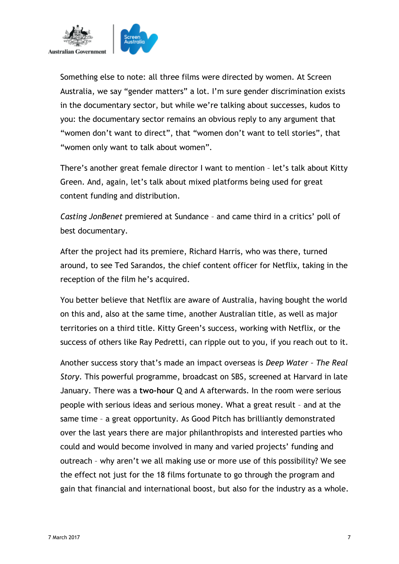

Something else to note: all three films were directed by women. At Screen Australia, we say "gender matters" a lot. I'm sure gender discrimination exists in the documentary sector, but while we're talking about successes, kudos to you: the documentary sector remains an obvious reply to any argument that "women don't want to direct", that "women don't want to tell stories", that "women only want to talk about women".

There's another great female director I want to mention – let's talk about Kitty Green. And, again, let's talk about mixed platforms being used for great content funding and distribution.

*Casting JonBenet* premiered at Sundance – and came third in a critics' poll of best documentary.

After the project had its premiere, Richard Harris, who was there, turned around, to see Ted Sarandos, the chief content officer for Netflix, taking in the reception of the film he's acquired.

You better believe that Netflix are aware of Australia, having bought the world on this and, also at the same time, another Australian title, as well as major territories on a third title. Kitty Green's success, working with Netflix, or the success of others like Ray Pedretti, can ripple out to you, if you reach out to it.

Another success story that's made an impact overseas is *Deep Water – The Real Story*. This powerful programme, broadcast on SBS, screened at Harvard in late January. There was a **two-hour** Q and A afterwards. In the room were serious people with serious ideas and serious money. What a great result – and at the same time – a great opportunity. As Good Pitch has brilliantly demonstrated over the last years there are major philanthropists and interested parties who could and would become involved in many and varied projects' funding and outreach – why aren't we all making use or more use of this possibility? We see the effect not just for the 18 films fortunate to go through the program and gain that financial and international boost, but also for the industry as a whole.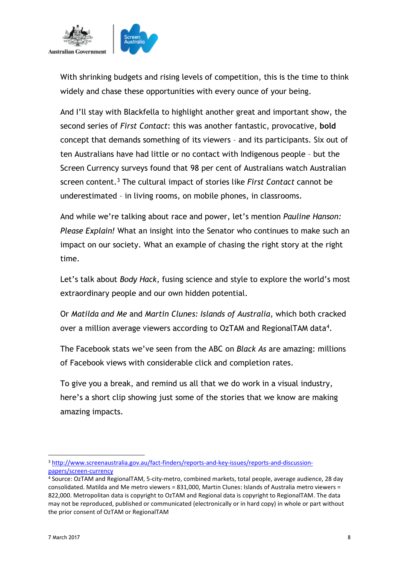

With shrinking budgets and rising levels of competition, this is the time to think widely and chase these opportunities with every ounce of your being.

And I'll stay with Blackfella to highlight another great and important show, the second series of *First Contact*: this was another fantastic, provocative, **bold**  concept that demands something of its viewers – and its participants. Six out of ten Australians have had little or no contact with Indigenous people – but the Screen Currency surveys found that 98 per cent of Australians watch Australian screen content. <sup>3</sup> The cultural impact of stories like *First Contact* cannot be underestimated – in living rooms, on mobile phones, in classrooms.

And while we're talking about race and power, let's mention *Pauline Hanson: Please Explain!* What an insight into the Senator who continues to make such an impact on our society. What an example of chasing the right story at the right time.

Let's talk about *Body Hack*, fusing science and style to explore the world's most extraordinary people and our own hidden potential.

Or *Matilda and Me* and *Martin Clunes: Islands of Australia*, which both cracked over a million average viewers according to OzTAM and RegionalTAM data<sup>4</sup>.

The Facebook stats we've seen from the ABC on *Black As* are amazing: millions of Facebook views with considerable click and completion rates.

To give you a break, and remind us all that we do work in a visual industry, here's a short clip showing just some of the stories that we know are making amazing impacts.

.

<sup>3</sup> [http://www.screenaustralia.gov.au/fact-finders/reports-and-key-issues/reports-and-discussion](http://www.screenaustralia.gov.au/fact-finders/reports-and-key-issues/reports-and-discussion-papers/screen-currency)[papers/screen-currency](http://www.screenaustralia.gov.au/fact-finders/reports-and-key-issues/reports-and-discussion-papers/screen-currency)

<sup>4</sup> Source: OzTAM and RegionalTAM, 5-city-metro, combined markets, total people, average audience, 28 day consolidated. Matilda and Me metro viewers = 831,000, Martin Clunes: Islands of Australia metro viewers = 822,000. Metropolitan data is copyright to OzTAM and Regional data is copyright to RegionalTAM. The data may not be reproduced, published or communicated (electronically or in hard copy) in whole or part without the prior consent of OzTAM or RegionalTAM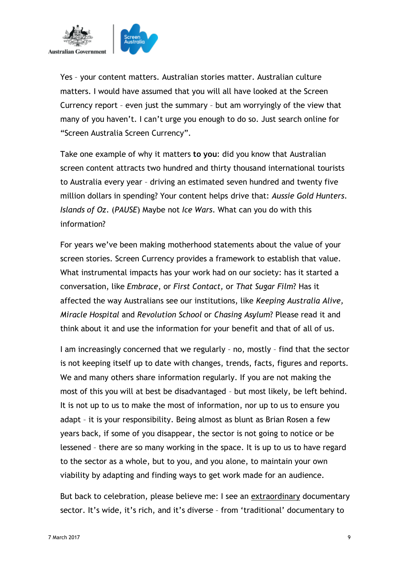

Yes – your content matters. Australian stories matter. Australian culture matters. I would have assumed that you will all have looked at the Screen Currency report – even just the summary – but am worryingly of the view that many of you haven't. I can't urge you enough to do so. Just search online for "Screen Australia Screen Currency".

Take one example of why it matters **to you**: did you know that Australian screen content attracts two hundred and thirty thousand international tourists to Australia every year – driving an estimated seven hundred and twenty five million dollars in spending? Your content helps drive that: *Aussie Gold Hunters*. *Islands of Oz*. (*PAUSE*) Maybe not *Ice Wars*. What can you do with this information?

For years we've been making motherhood statements about the value of your screen stories. Screen Currency provides a framework to establish that value. What instrumental impacts has your work had on our society: has it started a conversation, like *Embrace*, or *First Contact,* or *That Sugar Film*? Has it affected the way Australians see our institutions, like *Keeping Australia Alive, Miracle Hospital* and *Revolution School* or *Chasing Asylum*? Please read it and think about it and use the information for your benefit and that of all of us.

I am increasingly concerned that we regularly – no, mostly – find that the sector is not keeping itself up to date with changes, trends, facts, figures and reports. We and many others share information regularly. If you are not making the most of this you will at best be disadvantaged – but most likely, be left behind. It is not up to us to make the most of information, nor up to us to ensure you adapt – it is your responsibility. Being almost as blunt as Brian Rosen a few years back, if some of you disappear, the sector is not going to notice or be lessened – there are so many working in the space. It is up to us to have regard to the sector as a whole, but to you, and you alone, to maintain your own viability by adapting and finding ways to get work made for an audience.

But back to celebration, please believe me: I see an extraordinary documentary sector. It's wide, it's rich, and it's diverse – from 'traditional' documentary to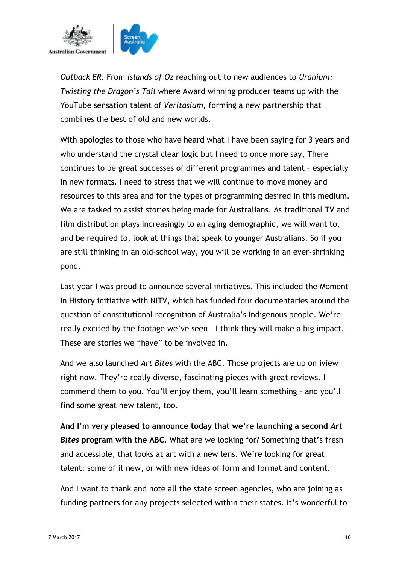

*Outback ER*. From *Islands of Oz* reaching out to new audiences to *Uranium: Twisting the Dragon's Tail* where Award winning producer teams up with the YouTube sensation talent of *Veritasium,* forming a new partnership that combines the best of old and new worlds.

With apologies to those who have heard what I have been saying for 3 years and who understand the crystal clear logic but I need to once more say, There continues to be great successes of different programmes and talent – especially in new formats. I need to stress that we will continue to move money and resources to this area and for the types of programming desired in this medium. We are tasked to assist stories being made for Australians. As traditional TV and film distribution plays increasingly to an aging demographic, we will want to, and be required to, look at things that speak to younger Australians. So if you are still thinking in an old-school way, you will be working in an ever-shrinking pond.

Last year I was proud to announce several initiatives. This included the Moment In History initiative with NITV, which has funded four documentaries around the question of constitutional recognition of Australia's Indigenous people. We're really excited by the footage we've seen – I think they will make a big impact. These are stories we "have" to be involved in.

And we also launched *Art Bites* with the ABC. Those projects are up on iview right now. They're really diverse, fascinating pieces with great reviews. I commend them to you. You'll enjoy them, you'll learn something – and you'll find some great new talent, too.

**And I'm very pleased to announce today that we're launching a second** *Art Bites* **program with the ABC**. What are we looking for? Something that's fresh and accessible, that looks at art with a new lens. We're looking for great talent: some of it new, or with new ideas of form and format and content.

And I want to thank and note all the state screen agencies, who are joining as funding partners for any projects selected within their states. It's wonderful to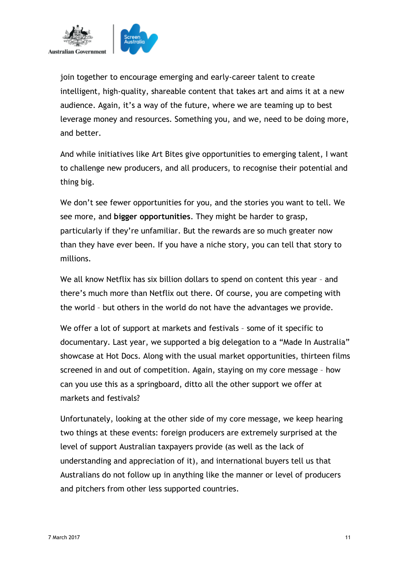

join together to encourage emerging and early-career talent to create intelligent, high-quality, shareable content that takes art and aims it at a new audience. Again, it's a way of the future, where we are teaming up to best leverage money and resources. Something you, and we, need to be doing more, and better.

And while initiatives like Art Bites give opportunities to emerging talent, I want to challenge new producers, and all producers, to recognise their potential and thing big.

We don't see fewer opportunities for you, and the stories you want to tell. We see more, and **bigger opportunities**. They might be harder to grasp, particularly if they're unfamiliar. But the rewards are so much greater now than they have ever been. If you have a niche story, you can tell that story to millions.

We all know Netflix has six billion dollars to spend on content this year – and there's much more than Netflix out there. Of course, you are competing with the world – but others in the world do not have the advantages we provide.

We offer a lot of support at markets and festivals – some of it specific to documentary. Last year, we supported a big delegation to a "Made In Australia" showcase at Hot Docs. Along with the usual market opportunities, thirteen films screened in and out of competition. Again, staying on my core message – how can you use this as a springboard, ditto all the other support we offer at markets and festivals?

Unfortunately, looking at the other side of my core message, we keep hearing two things at these events: foreign producers are extremely surprised at the level of support Australian taxpayers provide (as well as the lack of understanding and appreciation of it), and international buyers tell us that Australians do not follow up in anything like the manner or level of producers and pitchers from other less supported countries.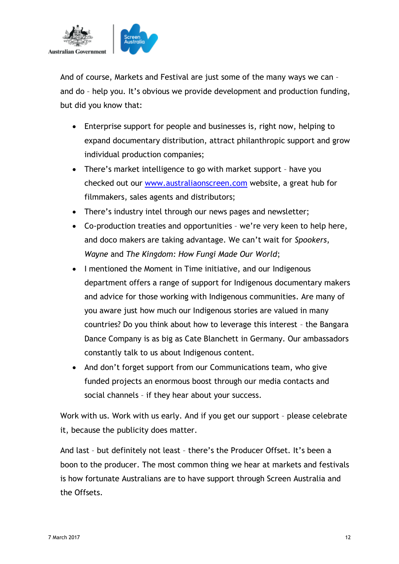

And of course, Markets and Festival are just some of the many ways we can – and do – help you. It's obvious we provide development and production funding, but did you know that:

- Enterprise support for people and businesses is, right now, helping to expand documentary distribution, attract philanthropic support and grow individual production companies;
- There's market intelligence to go with market support have you checked out our [www.australiaonscreen.com](http://www.australiaonscreen.com/) website, a great hub for filmmakers, sales agents and distributors;
- There's industry intel through our news pages and newsletter;
- Co-production treaties and opportunities we're very keen to help here, and doco makers are taking advantage. We can't wait for *Spookers*, *Wayne* and *The Kingdom: How Fungi Made Our World*;
- I mentioned the Moment in Time initiative, and our Indigenous department offers a range of support for Indigenous documentary makers and advice for those working with Indigenous communities. Are many of you aware just how much our Indigenous stories are valued in many countries? Do you think about how to leverage this interest – the Bangara Dance Company is as big as Cate Blanchett in Germany. Our ambassadors constantly talk to us about Indigenous content.
- And don't forget support from our Communications team, who give funded projects an enormous boost through our media contacts and social channels – if they hear about your success.

Work with us. Work with us early. And if you get our support – please celebrate it, because the publicity does matter.

And last – but definitely not least – there's the Producer Offset. It's been a boon to the producer. The most common thing we hear at markets and festivals is how fortunate Australians are to have support through Screen Australia and the Offsets.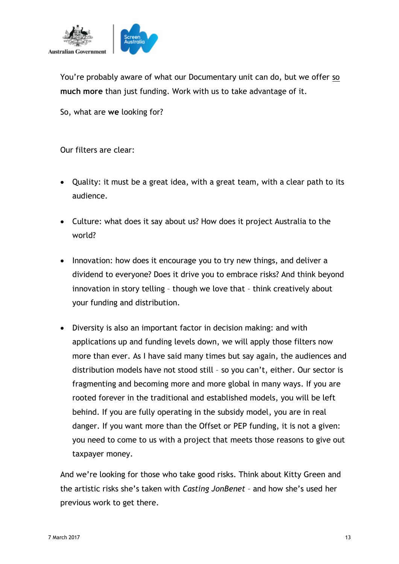

You're probably aware of what our Documentary unit can do, but we offer so **much more** than just funding. Work with us to take advantage of it.

So, what are **we** looking for?

Our filters are clear:

- Quality: it must be a great idea, with a great team, with a clear path to its audience.
- Culture: what does it say about us? How does it project Australia to the world?
- Innovation: how does it encourage you to try new things, and deliver a dividend to everyone? Does it drive you to embrace risks? And think beyond innovation in story telling – though we love that – think creatively about your funding and distribution.
- Diversity is also an important factor in decision making: and with applications up and funding levels down, we will apply those filters now more than ever. As I have said many times but say again, the audiences and distribution models have not stood still – so you can't, either. Our sector is fragmenting and becoming more and more global in many ways. If you are rooted forever in the traditional and established models, you will be left behind. If you are fully operating in the subsidy model, you are in real danger. If you want more than the Offset or PEP funding, it is not a given: you need to come to us with a project that meets those reasons to give out taxpayer money.

And we're looking for those who take good risks. Think about Kitty Green and the artistic risks she's taken with *Casting JonBenet* – and how she's used her previous work to get there.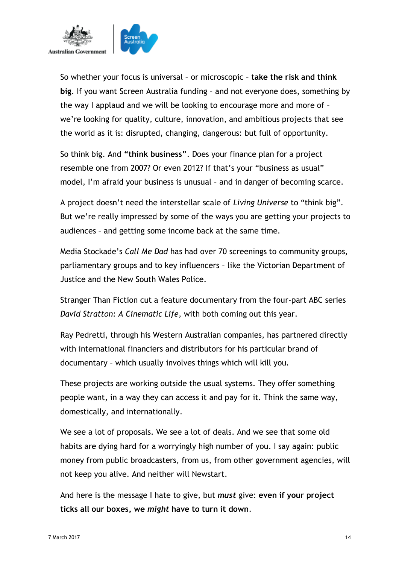

So whether your focus is universal – or microscopic – **take the risk and think big**. If you want Screen Australia funding – and not everyone does, something by the way I applaud and we will be looking to encourage more and more of – we're looking for quality, culture, innovation, and ambitious projects that see the world as it is: disrupted, changing, dangerous: but full of opportunity.

So think big. And **"think business"**. Does your finance plan for a project resemble one from 2007? Or even 2012? If that's your "business as usual" model, I'm afraid your business is unusual – and in danger of becoming scarce.

A project doesn't need the interstellar scale of *Living Universe* to "think big". But we're really impressed by some of the ways you are getting your projects to audiences – and getting some income back at the same time.

Media Stockade's *Call Me Dad* has had over 70 screenings to community groups, parliamentary groups and to key influencers – like the Victorian Department of Justice and the New South Wales Police.

Stranger Than Fiction cut a feature documentary from the four-part ABC series *David Stratton: A Cinematic Life*, with both coming out this year.

Ray Pedretti, through his Western Australian companies, has partnered directly with international financiers and distributors for his particular brand of documentary – which usually involves things which will kill you.

These projects are working outside the usual systems. They offer something people want, in a way they can access it and pay for it. Think the same way, domestically, and internationally.

We see a lot of proposals. We see a lot of deals. And we see that some old habits are dying hard for a worryingly high number of you. I say again: public money from public broadcasters, from us, from other government agencies, will not keep you alive. And neither will Newstart.

And here is the message I hate to give, but *must* give: **even if your project ticks all our boxes, we** *might* **have to turn it down**.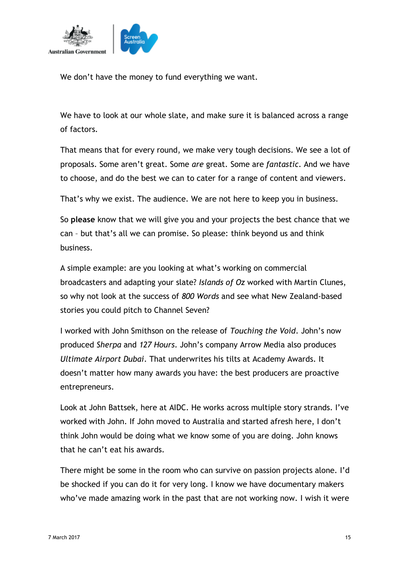

We don't have the money to fund everything we want.

We have to look at our whole slate, and make sure it is balanced across a range of factors.

That means that for every round, we make very tough decisions. We see a lot of proposals. Some aren't great. Some *are* great. Some are *fantastic*. And we have to choose, and do the best we can to cater for a range of content and viewers.

That's why we exist. The audience. We are not here to keep you in business.

So **please** know that we will give you and your projects the best chance that we can – but that's all we can promise. So please: think beyond us and think business.

A simple example: are you looking at what's working on commercial broadcasters and adapting your slate? *Islands of Oz* worked with Martin Clunes, so why not look at the success of *800 Words* and see what New Zealand-based stories you could pitch to Channel Seven?

I worked with John Smithson on the release of *Touching the Void*. John's now produced *Sherpa* and *127 Hours*. John's company Arrow Media also produces *Ultimate Airport Dubai*. That underwrites his tilts at Academy Awards. It doesn't matter how many awards you have: the best producers are proactive entrepreneurs.

Look at John Battsek, here at AIDC. He works across multiple story strands. I've worked with John. If John moved to Australia and started afresh here, I don't think John would be doing what we know some of you are doing. John knows that he can't eat his awards.

There might be some in the room who can survive on passion projects alone. I'd be shocked if you can do it for very long. I know we have documentary makers who've made amazing work in the past that are not working now. I wish it were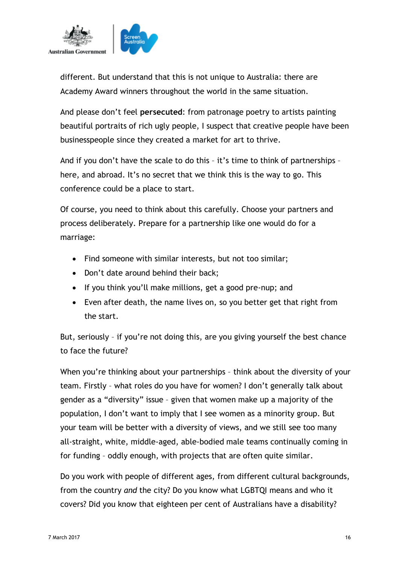

different. But understand that this is not unique to Australia: there are Academy Award winners throughout the world in the same situation.

And please don't feel **persecuted**: from patronage poetry to artists painting beautiful portraits of rich ugly people, I suspect that creative people have been businesspeople since they created a market for art to thrive.

And if you don't have the scale to do this – it's time to think of partnerships – here, and abroad. It's no secret that we think this is the way to go. This conference could be a place to start.

Of course, you need to think about this carefully. Choose your partners and process deliberately. Prepare for a partnership like one would do for a marriage:

- Find someone with similar interests, but not too similar;
- Don't date around behind their back:
- If you think you'll make millions, get a good pre-nup; and
- Even after death, the name lives on, so you better get that right from the start.

But, seriously – if you're not doing this, are you giving yourself the best chance to face the future?

When you're thinking about your partnerships - think about the diversity of your team. Firstly – what roles do you have for women? I don't generally talk about gender as a "diversity" issue – given that women make up a majority of the population, I don't want to imply that I see women as a minority group. But your team will be better with a diversity of views, and we still see too many all-straight, white, middle-aged, able-bodied male teams continually coming in for funding – oddly enough, with projects that are often quite similar.

Do you work with people of different ages, from different cultural backgrounds, from the country *and* the city? Do you know what LGBTQI means and who it covers? Did you know that eighteen per cent of Australians have a disability?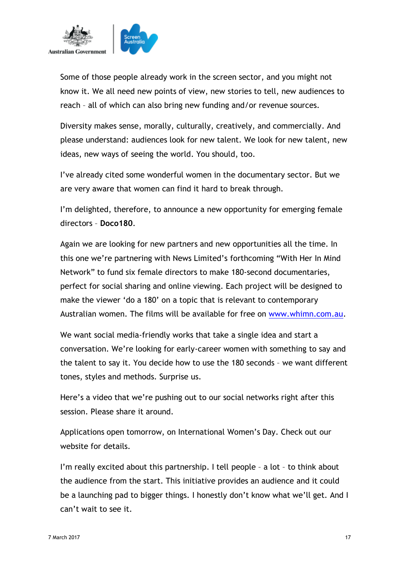

Some of those people already work in the screen sector, and you might not know it. We all need new points of view, new stories to tell, new audiences to reach – all of which can also bring new funding and/or revenue sources.

Diversity makes sense, morally, culturally, creatively, and commercially. And please understand: audiences look for new talent. We look for new talent, new ideas, new ways of seeing the world. You should, too.

I've already cited some wonderful women in the documentary sector. But we are very aware that women can find it hard to break through.

I'm delighted, therefore, to announce a new opportunity for emerging female directors – **Doco180**.

Again we are looking for new partners and new opportunities all the time. In this one we're partnering with News Limited's forthcoming "With Her In Mind Network" to fund six female directors to make 180-second documentaries, perfect for social sharing and online viewing. Each project will be designed to make the viewer 'do a 180' on a topic that is relevant to contemporary Australian women. The films will be available for free on [www.whimn.com.au.](http://www.whimn.com.au/)

We want social media-friendly works that take a single idea and start a conversation. We're looking for early-career women with something to say and the talent to say it. You decide how to use the 180 seconds – we want different tones, styles and methods. Surprise us.

Here's a video that we're pushing out to our social networks right after this session. Please share it around.

Applications open tomorrow, on International Women's Day. Check out our website for details.

I'm really excited about this partnership. I tell people – a lot – to think about the audience from the start. This initiative provides an audience and it could be a launching pad to bigger things. I honestly don't know what we'll get. And I can't wait to see it.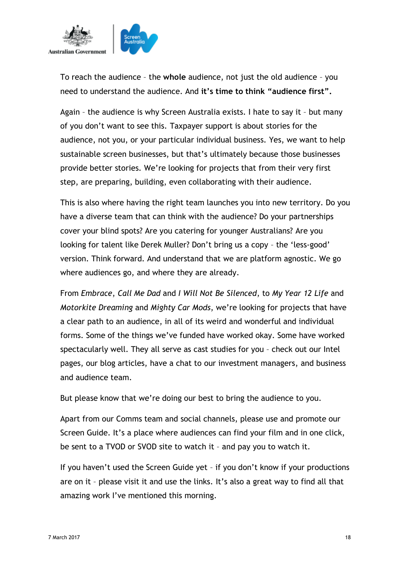

To reach the audience – the **whole** audience, not just the old audience – you need to understand the audience. And **it's time to think "audience first".**

Again – the audience is why Screen Australia exists. I hate to say it – but many of you don't want to see this. Taxpayer support is about stories for the audience, not you, or your particular individual business. Yes, we want to help sustainable screen businesses, but that's ultimately because those businesses provide better stories. We're looking for projects that from their very first step, are preparing, building, even collaborating with their audience.

This is also where having the right team launches you into new territory. Do you have a diverse team that can think with the audience? Do your partnerships cover your blind spots? Are you catering for younger Australians? Are you looking for talent like Derek Muller? Don't bring us a copy – the 'less-good' version. Think forward. And understand that we are platform agnostic. We go where audiences go, and where they are already.

From *Embrace*, *Call Me Dad* and *I Will Not Be Silenced*, to *My Year 12 Life* and *Motorkite Dreaming* and *Mighty Car Mods*, we're looking for projects that have a clear path to an audience, in all of its weird and wonderful and individual forms. Some of the things we've funded have worked okay. Some have worked spectacularly well. They all serve as cast studies for you – check out our Intel pages, our blog articles, have a chat to our investment managers, and business and audience team.

But please know that we're doing our best to bring the audience to you.

Apart from our Comms team and social channels, please use and promote our Screen Guide. It's a place where audiences can find your film and in one click, be sent to a TVOD or SVOD site to watch it – and pay you to watch it.

If you haven't used the Screen Guide yet – if you don't know if your productions are on it – please visit it and use the links. It's also a great way to find all that amazing work I've mentioned this morning.